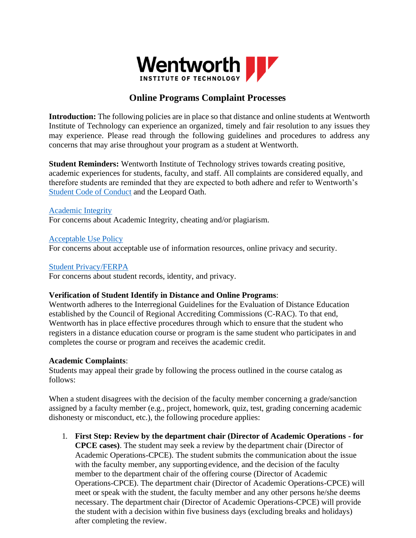

# **Online Programs Complaint Processes**

**Introduction:** The following policies are in place so that distance and online students at Wentworth Institute of Technology can experience an organized, timely and fair resolution to any issues they may experience. Please read through the following guidelines and procedures to address any concerns that may arise throughout your program as a student at Wentworth.

**Student Reminders:** Wentworth Institute of Technology strives towards creating positive, academic experiences for students, faculty, and staff. All complaints are considered equally, and therefore students are reminded that they are expected to both adhere and refer to Wentworth's [Student Code of Conduct](https://wit.edu/student-life/student-handbook/toc) and the Leopard Oath.

#### [Academic Integrity](https://wit.edu/policies/academic-honesty)

For concerns about Academic Integrity, cheating and/or plagiarism.

#### [Acceptable Use Policy](https://wit.edu/sites/default/files/2020-10/Acceptable%20Use%20Policy_March2020.pdf)

For concerns about acceptable use of information resources, online privacy and security.

#### [Student Privacy/FERPA](https://wit.edu/registrar/ferpa)

For concerns about student records, identity, and privacy.

#### **Verification of Student Identify in Distance and Online Programs**:

Wentworth adheres to the Interregional Guidelines for the Evaluation of Distance Education established by the Council of Regional Accrediting Commissions (C-RAC). To that end, Wentworth has in place effective procedures through which to ensure that the student who registers in a distance education course or program is the same student who participates in and completes the course or program and receives the academic credit.

#### **Academic Complaints**:

Students may appeal their grade by following the process outlined in the course catalog as follows:

When a student disagrees with the decision of the faculty member concerning a grade/sanction assigned by a faculty member (e.g., project, homework, quiz, test, grading concerning academic dishonesty or misconduct, etc.), the following procedure applies:

1. **First Step: Review by the department chair (Director of Academic Operations - for CPCE cases)**. The student may seek a review by the department chair (Director of Academic Operations-CPCE). The student submits the communication about the issue with the faculty member, any supporting evidence, and the decision of the faculty member to the department chair of the offering course (Director of Academic Operations-CPCE). The department chair (Director of Academic Operations-CPCE) will meet or speak with the student, the faculty member and any other persons he/she deems necessary. The department chair (Director of Academic Operations-CPCE) will provide the student with a decision within five business days (excluding breaks and holidays) after completing the review.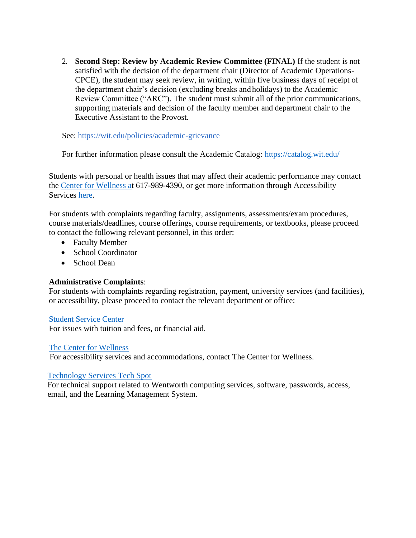2. **Second Step: Review by Academic Review Committee (FINAL)** If the student is not satisfied with the decision of the department chair (Director of Academic Operations-CPCE), the student may seek review, in writing, within five business days of receipt of the department chair's decision (excluding breaks and holidays) to the Academic Review Committee ("ARC"). The student must submit all of the prior communications, supporting materials and decision of the faculty member and department chair to the Executive Assistant to the Provost.

See:<https://wit.edu/policies/academic-grievance>

For further information please consult the Academic Catalog:<https://catalog.wit.edu/>

Students with personal or health issues that may affect their academic performance may contact the [Center for Wellness at](https://wit.edu/student-life/health-wellness/center-for-wellness) 617-989-4390, or get more information through Accessibility Services [here.](https://wit.edu/student-life/health-wellness/disability-services)

For students with complaints regarding faculty, assignments, assessments/exam procedures, course materials/deadlines, course offerings, course requirements, or textbooks, please proceed to contact the following relevant personnel, in this order:

- Faculty Member
- School Coordinator
- School Dean

#### **Administrative Complaints**:

For students with complaints regarding registration, payment, university services (and facilities), or accessibility, please proceed to contact the relevant department or office:

#### [Student Service Center](https://wit.edu/admissions/student-services)

For issues with tuition and fees, or financial aid.

#### [The Center for Wellness](https://wit.edu/student-life/health-wellness/center-for-wellness)

For accessibility services and accommodations, contact The Center for Wellness.

#### [Technology Services Tech Spot](https://wit.edu/tech-services/tech-spot)

For technical support related to Wentworth computing services, software, passwords, access, email, and the Learning Management System.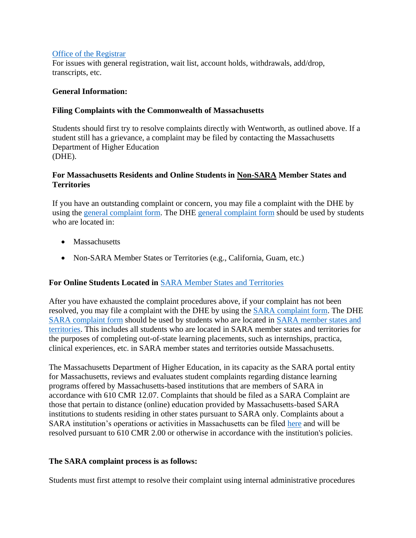#### [Office of the Registrar](https://wit.edu/registrar)

For issues with general registration, wait list, account holds, withdrawals, add/drop, transcripts, etc.

#### **General Information:**

#### **Filing Complaints with the Commonwealth of Massachusetts**

Students should first try to resolve complaints directly with Wentworth, as outlined above. If a student still has a grievance, a complaint may be filed by contacting the Massachusetts Department of Higher Education (DHE).

## **For Massachusetts Residents and Online Students in Non-SARA Member States and Territories**

If you have an outstanding complaint or concern, you may file a complaint with the DHE by using the [general complaint form.](https://www.mass.edu/forstufam/complaints/complaints.asp) The DHE [general complaint form](https://www.mass.edu/forstufam/complaints/complaints.asp) should be used by students who are located in:

- Massachusetts
- Non-SARA Member States or Territories (e.g., California, Guam, etc.)

## **For Online Students Located in** [SARA Member States and Territories](https://nc-sara.org/directory)

After you have exhausted the complaint procedures above, if your complaint has not been resolved, you may file a complaint with the DHE by using the [SARA complaint form.](https://www.mass.edu/foradmin/sara/complaints.asp) The DHE [SARA complaint form](https://www.mass.edu/foradmin/sara/complaints.asp) should be used by students who are located in [SARA member states and](https://nc-sara.org/directory)  [territories.](https://nc-sara.org/directory) This includes all students who are located in SARA member states and territories for the purposes of completing out-of-state learning placements, such as internships, practica, clinical experiences, etc. in SARA member states and territories outside Massachusetts.

The Massachusetts Department of Higher Education, in its capacity as the SARA portal entity for Massachusetts, reviews and evaluates student complaints regarding distance learning programs offered by Massachusetts-based institutions that are members of SARA in accordance with 610 CMR 12.07. Complaints that should be filed as a SARA Complaint are those that pertain to distance (online) education provided by Massachusetts-based SARA institutions to students residing in other states pursuant to SARA only. Complaints about a SARA institution's operations or activities in Massachusetts can be filed [here](http://www.mass.edu/forstufam/complaints/complaints.asp) and will be resolved pursuant to 610 CMR 2.00 or otherwise in accordance with the institution's policies.

## **The SARA complaint process is as follows:**

Students must first attempt to resolve their complaint using internal administrative procedures